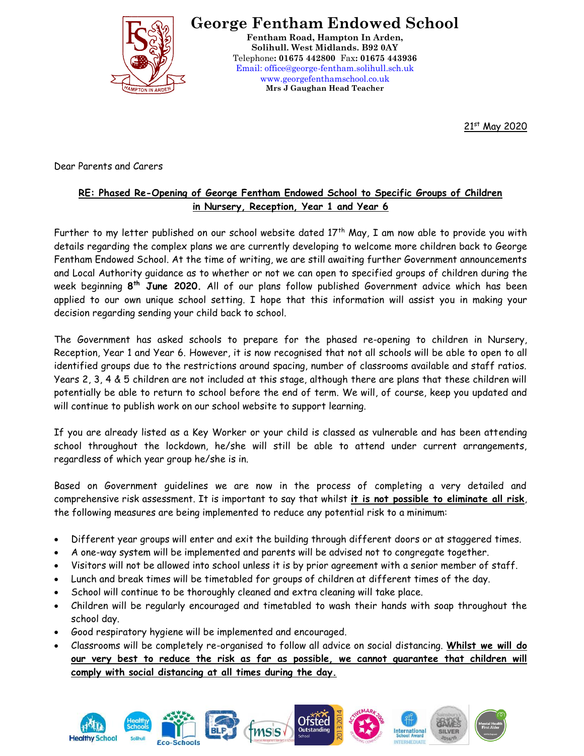

**George Fentham Endowed School**

**Fentham Road, Hampton In Arden, Solihull. West Midlands. B92 0AY** Telephone**: 01675 442800** Fax**: 01675 443936** Email: office@george-fentham.solihull.sch.uk www.georgefenthamschool.co.uk **Mrs J Gaughan Head Teacher**

21st May 2020

Dear Parents and Carers

## **RE: Phased Re-Opening of George Fentham Endowed School to Specific Groups of Children in Nursery, Reception, Year 1 and Year 6**

Further to my letter published on our school website dated  $17<sup>th</sup>$  May, I am now able to provide you with details regarding the complex plans we are currently developing to welcome more children back to George Fentham Endowed School. At the time of writing, we are still awaiting further Government announcements and Local Authority guidance as to whether or not we can open to specified groups of children during the week beginning **8 th June 2020.** All of our plans follow published Government advice which has been applied to our own unique school setting. I hope that this information will assist you in making your decision regarding sending your child back to school.

The Government has asked schools to prepare for the phased re-opening to children in Nursery, Reception, Year 1 and Year 6. However, it is now recognised that not all schools will be able to open to all identified groups due to the restrictions around spacing, number of classrooms available and staff ratios. Years 2, 3, 4 & 5 children are not included at this stage, although there are plans that these children will potentially be able to return to school before the end of term. We will, of course, keep you updated and will continue to publish work on our school website to support learning.

If you are already listed as a Key Worker or your child is classed as vulnerable and has been attending school throughout the lockdown, he/she will still be able to attend under current arrangements, regardless of which year group he/she is in.

Based on Government guidelines we are now in the process of completing a very detailed and comprehensive risk assessment. It is important to say that whilst **it is not possible to eliminate all risk**, the following measures are being implemented to reduce any potential risk to a minimum:

- Different year groups will enter and exit the building through different doors or at staggered times.
- A one-way system will be implemented and parents will be advised not to congregate together.
- Visitors will not be allowed into school unless it is by prior agreement with a senior member of staff.
- Lunch and break times will be timetabled for groups of children at different times of the day.
- School will continue to be thoroughly cleaned and extra cleaning will take place.
- Children will be regularly encouraged and timetabled to wash their hands with soap throughout the school day.
- Good respiratory hygiene will be implemented and encouraged.
- Classrooms will be completely re-organised to follow all advice on social distancing. **Whilst we will do our very best to reduce the risk as far as possible, we cannot guarantee that children will comply with social distancing at all times during the day.**

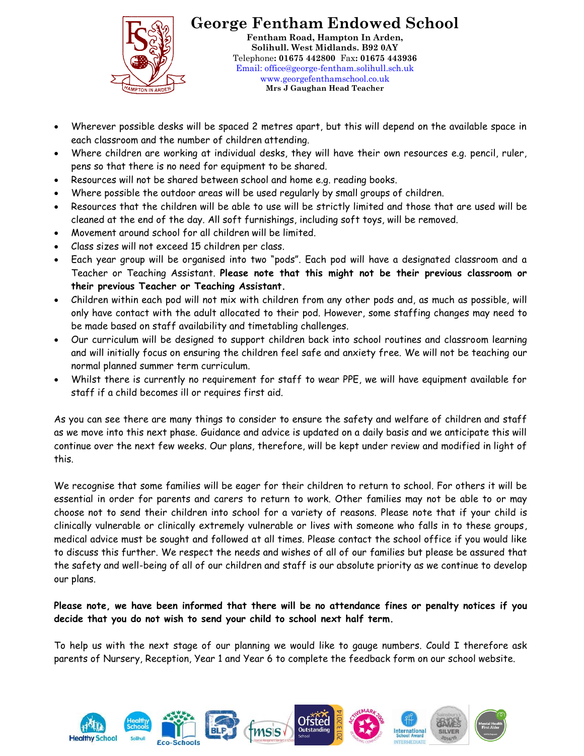

**George Fentham Endowed School Fentham Road, Hampton In Arden, Solihull. West Midlands. B92 0AY** Telephone**: 01675 442800** Fax**: 01675 443936** Email: office@george-fentham.solihull.sch.uk www.georgefenthamschool.co.uk **Mrs J Gaughan Head Teacher**

- Wherever possible desks will be spaced 2 metres apart, but this will depend on the available space in each classroom and the number of children attending.
- Where children are working at individual desks, they will have their own resources e.g. pencil, ruler, pens so that there is no need for equipment to be shared.
- Resources will not be shared between school and home e.g. reading books.
- Where possible the outdoor areas will be used regularly by small groups of children.
- Resources that the children will be able to use will be strictly limited and those that are used will be cleaned at the end of the day. All soft furnishings, including soft toys, will be removed.
- Movement around school for all children will be limited.
- Class sizes will not exceed 15 children per class.
- Each year group will be organised into two "pods". Each pod will have a designated classroom and a Teacher or Teaching Assistant. **Please note that this might not be their previous classroom or their previous Teacher or Teaching Assistant.**
- Children within each pod will not mix with children from any other pods and, as much as possible, will only have contact with the adult allocated to their pod. However, some staffing changes may need to be made based on staff availability and timetabling challenges.
- Our curriculum will be designed to support children back into school routines and classroom learning and will initially focus on ensuring the children feel safe and anxiety free. We will not be teaching our normal planned summer term curriculum.
- Whilst there is currently no requirement for staff to wear PPE, we will have equipment available for staff if a child becomes ill or requires first aid.

As you can see there are many things to consider to ensure the safety and welfare of children and staff as we move into this next phase. Guidance and advice is updated on a daily basis and we anticipate this will continue over the next few weeks. Our plans, therefore, will be kept under review and modified in light of this.

We recognise that some families will be eager for their children to return to school. For others it will be essential in order for parents and carers to return to work. Other families may not be able to or may choose not to send their children into school for a variety of reasons. Please note that if your child is clinically vulnerable or clinically extremely vulnerable or lives with someone who falls in to these groups, medical advice must be sought and followed at all times. Please contact the school office if you would like to discuss this further. We respect the needs and wishes of all of our families but please be assured that the safety and well-being of all of our children and staff is our absolute priority as we continue to develop our plans.

## **Please note, we have been informed that there will be no attendance fines or penalty notices if you decide that you do not wish to send your child to school next half term.**

To help us with the next stage of our planning we would like to gauge numbers. Could I therefore ask parents of Nursery, Reception, Year 1 and Year 6 to complete the feedback form on our school website.